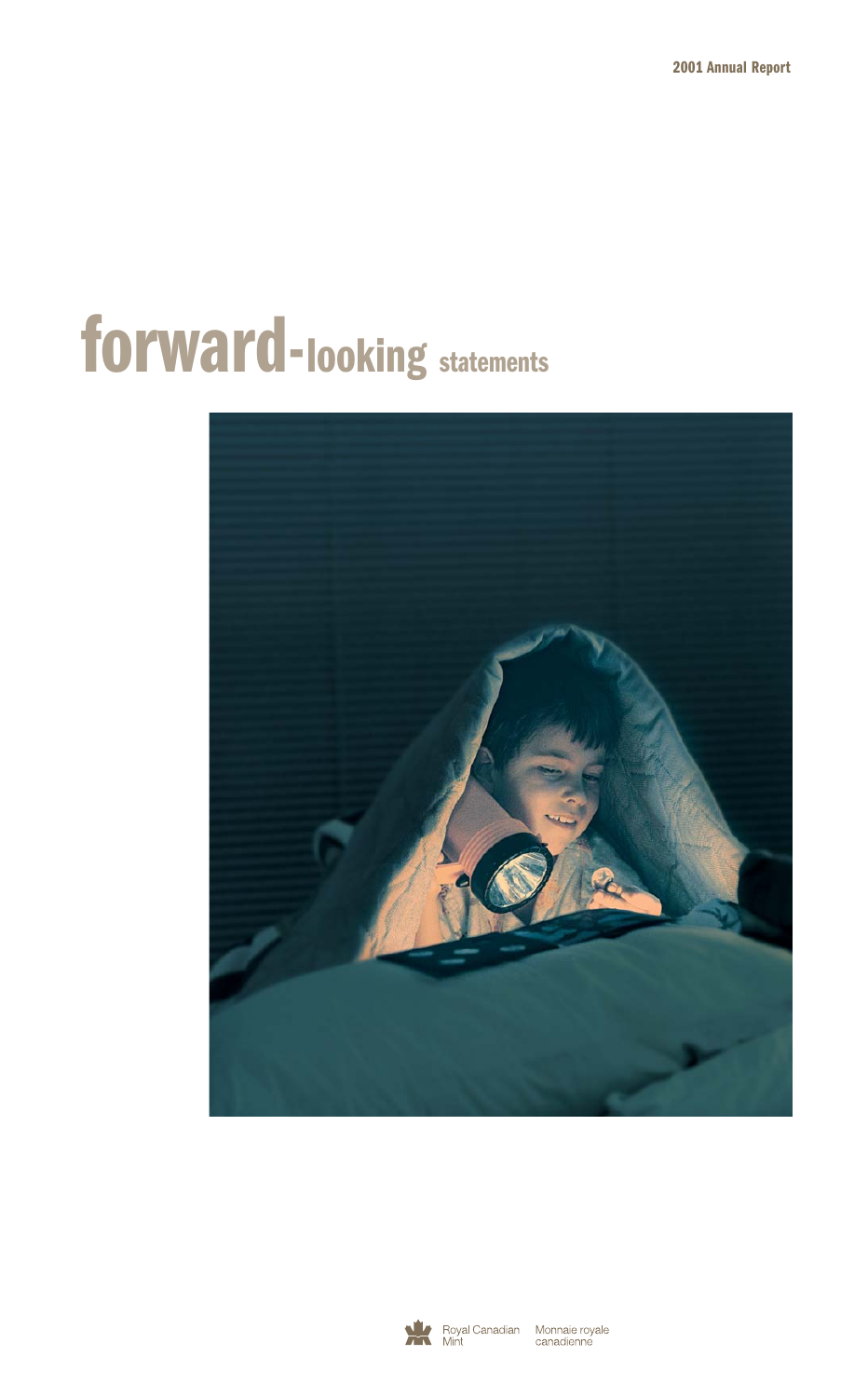# **forward-looking statements**





Royal Canadian Monnaie royale<br>Mint Mint canadienne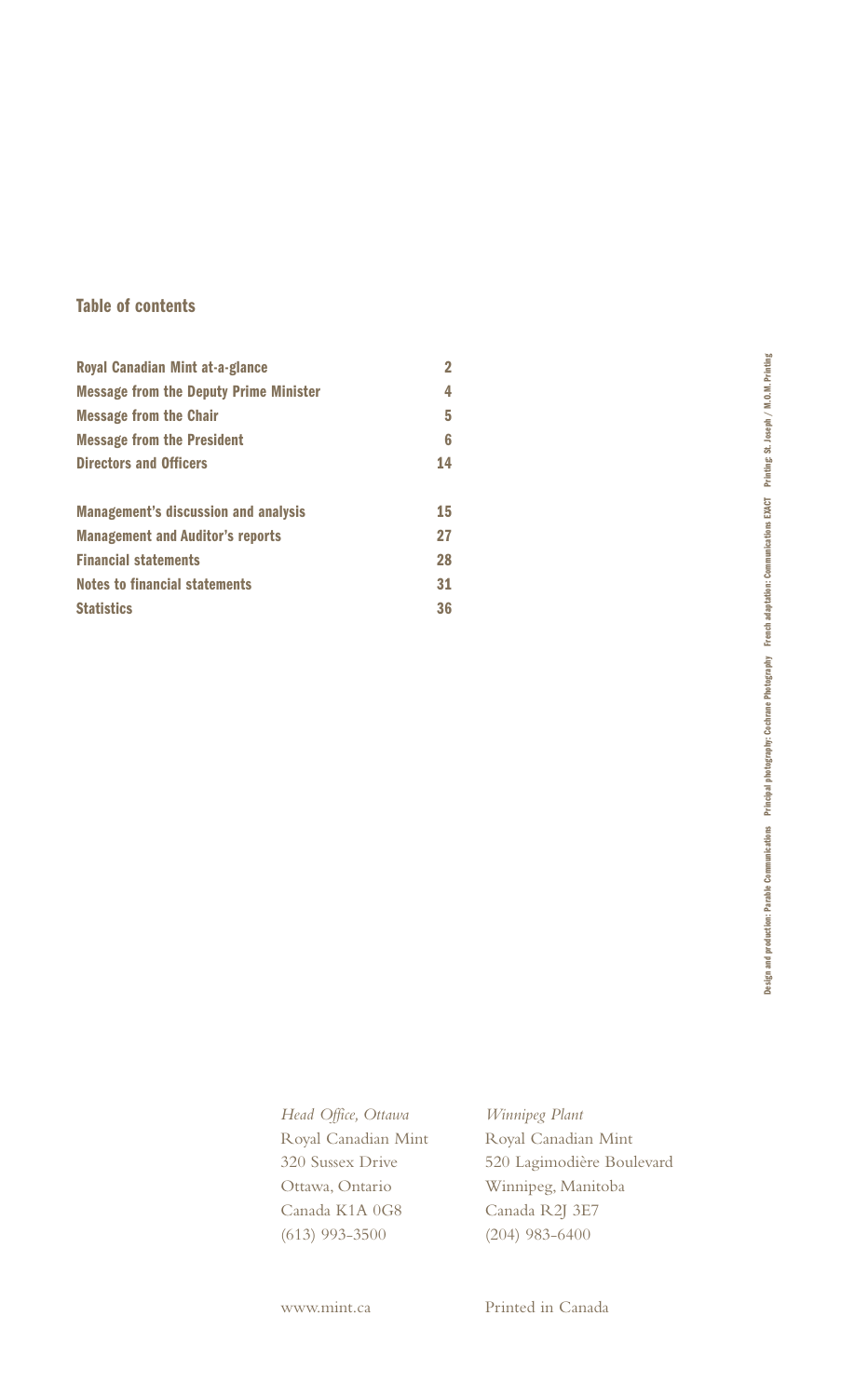# **Table of contents**

| Royal Canadian Mint at-a-glance               | $\overline{2}$ |
|-----------------------------------------------|----------------|
| <b>Message from the Deputy Prime Minister</b> | 4              |
| <b>Message from the Chair</b>                 | 5              |
| <b>Message from the President</b>             | 6              |
| <b>Directors and Officers</b>                 | 14             |
|                                               |                |
| <b>Management's discussion and analysis</b>   | 15             |
| <b>Management and Auditor's reports</b>       | 27             |
| <b>Financial statements</b>                   | 28             |
| <b>Notes to financial statements</b>          | 31             |
| <b>Statistics</b>                             | 36             |

*Head Office, Ottawa* Royal Canadian Mint 320 Sussex Drive Ottawa, Ontario Canada K1A 0G8 (613) 993-3500

*Winnipeg Plant* Royal Canadian Mint 520 Lagimodière Boulevard Winnipeg, Manitoba Canada R2J 3E7 (204) 983-6400

www.mint.ca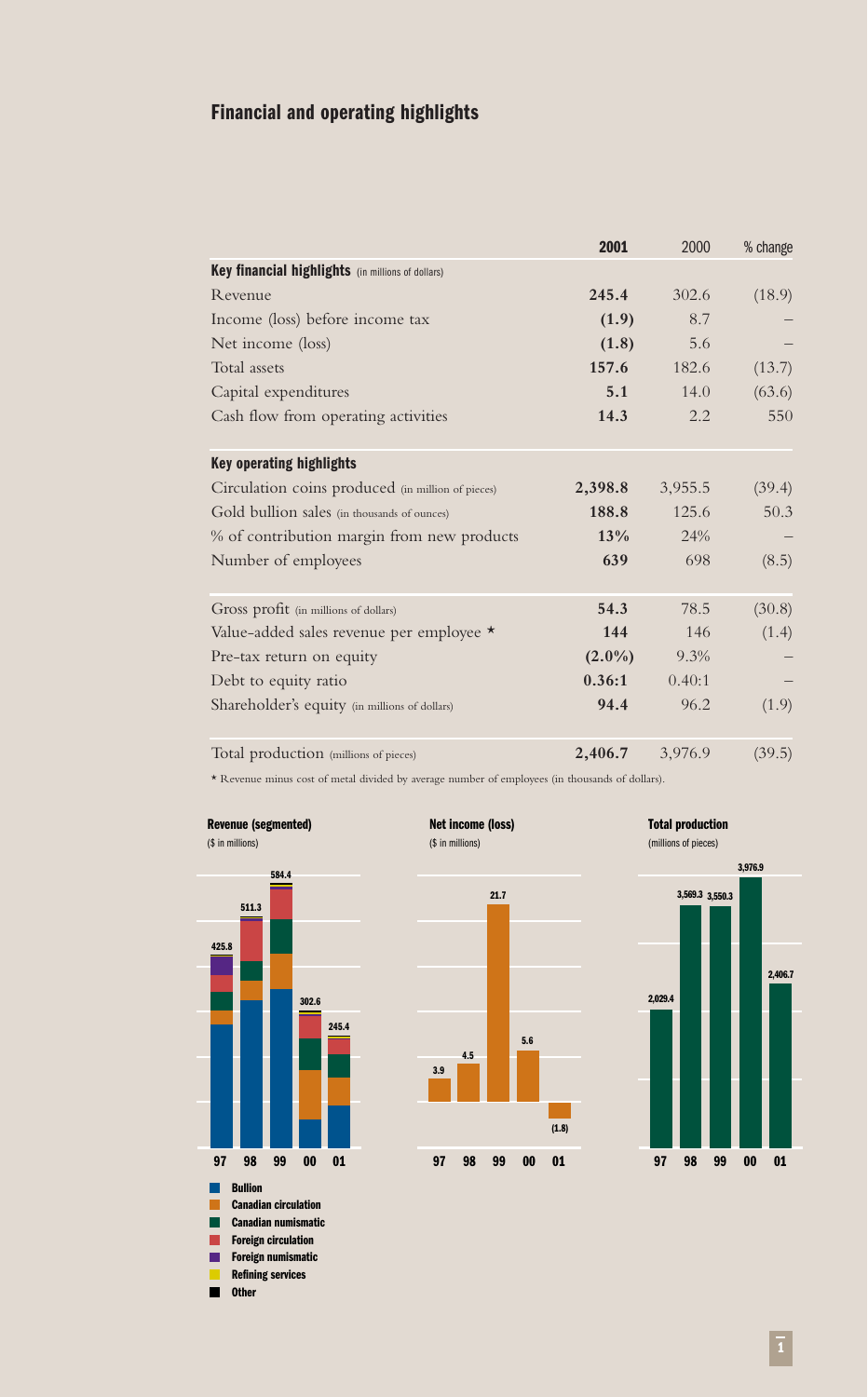# **Financial and operating highlights**

|                                                   | 2001      | 2000    | % change |
|---------------------------------------------------|-----------|---------|----------|
| Key financial highlights (in millions of dollars) |           |         |          |
| Revenue                                           | 245.4     | 302.6   | (18.9)   |
| Income (loss) before income tax                   | (1.9)     | 8.7     |          |
| Net income (loss)                                 | (1.8)     | 5.6     |          |
| Total assets                                      | 157.6     | 182.6   | (13.7)   |
| Capital expenditures                              | 5.1       | 14.0    | (63.6)   |
| Cash flow from operating activities               | 14.3      | 2.2     | 550      |
| <b>Key operating highlights</b>                   |           |         |          |
| Circulation coins produced (in million of pieces) | 2,398.8   | 3,955.5 | (39.4)   |
| Gold bullion sales (in thousands of ounces)       | 188.8     | 125.6   | 50.3     |
| % of contribution margin from new products        | $13\%$    | 24%     |          |
| Number of employees                               | 639       | 698     | (8.5)    |
| Gross profit (in millions of dollars)             | 54.3      | 78.5    | (30.8)   |
| Value-added sales revenue per employee *          | 144       | 146     | (1.4)    |
| Pre-tax return on equity                          | $(2.0\%)$ | 9.3%    |          |
| Debt to equity ratio                              | 0.36:1    | 0.40:1  |          |
| Shareholder's equity (in millions of dollars)     | 94.4      | 96.2    | (1.9)    |
| Total production (millions of pieces)             | 2,406.7   | 3,976.9 | (39.5)   |

\* Revenue minus cost of metal divided by average number of employees (in thousands of dollars).

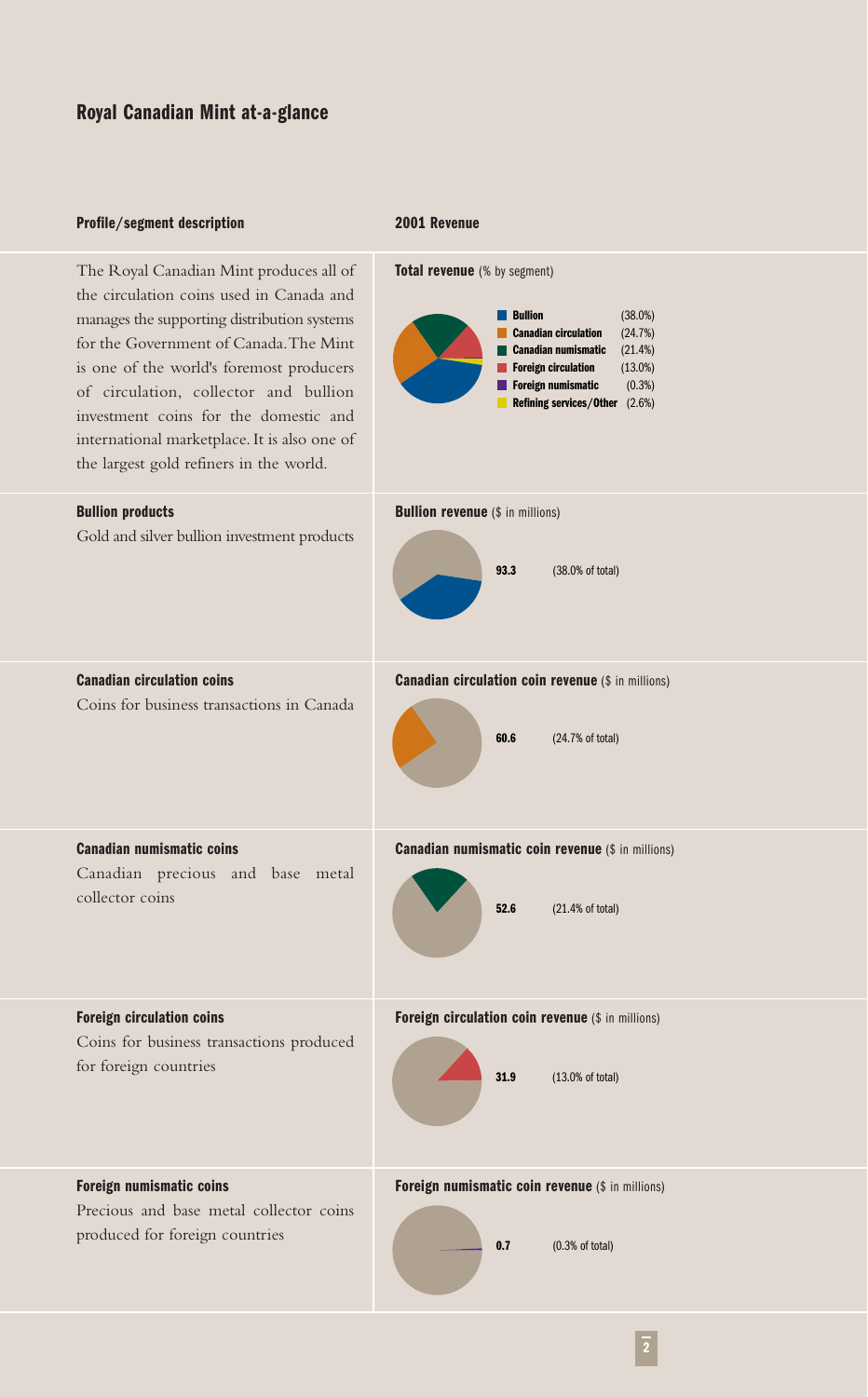#### **Profile/segment description**

#### **2001 Revenue**

The Royal Canadian Mint produces all of the circulation coins used in Canada and manages the supporting distribution systems for the Government of Canada.The Mint is one of the world's foremost producers of circulation, collector and bullion investment coins for the domestic and international marketplace. It is also one of the largest gold refiners in the world.

**Total revenue** (% by segment)



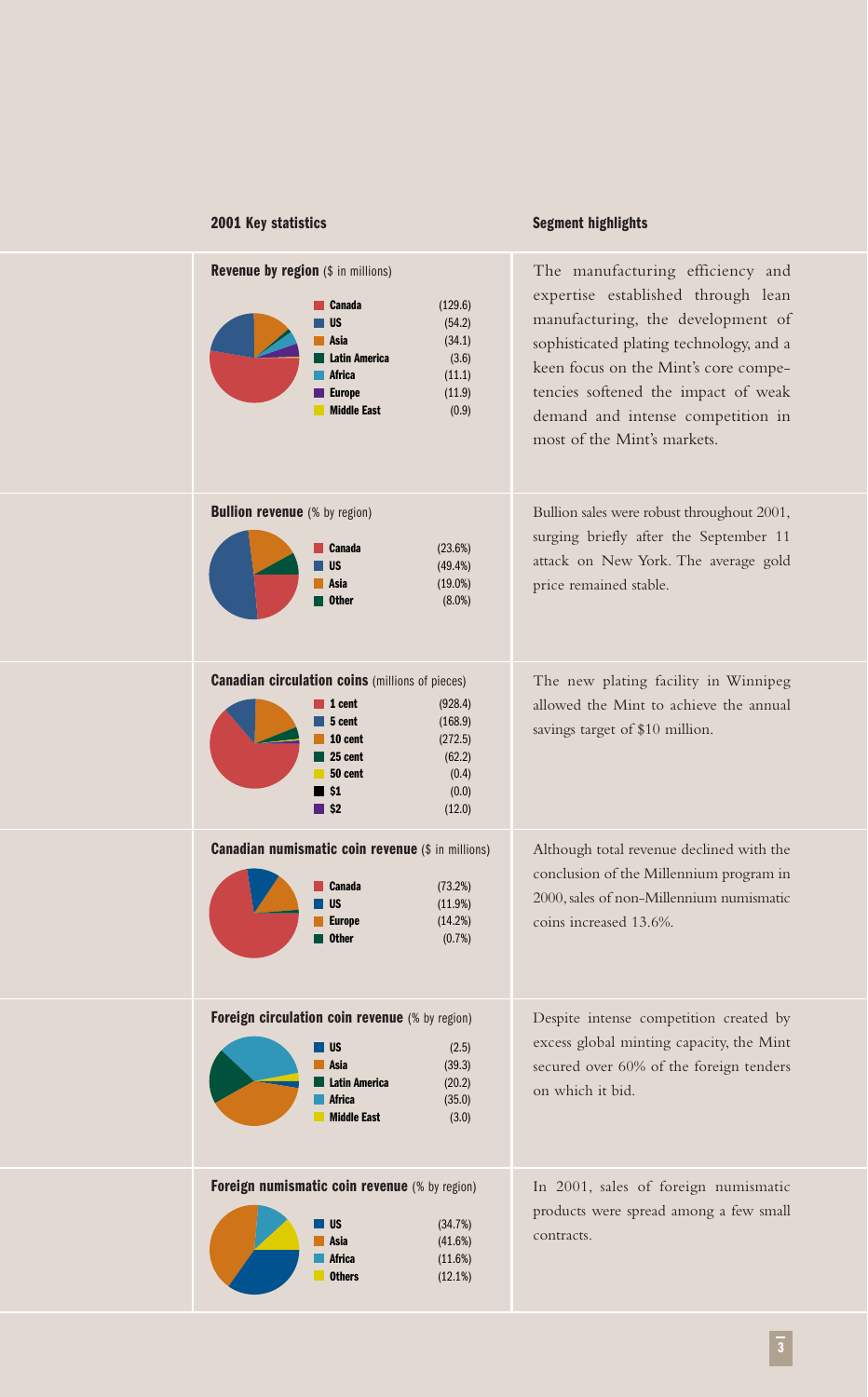## **2001 Key statistics**

# **Segment highlights**

| Revenue by region (\$ in millions)<br>(129.6)<br>Canada<br><b>US</b><br>(54.2)<br>Asia<br>(34.1)<br><b>Latin America</b><br>(3.6)<br><b>Africa</b><br>(11.1)<br>(11.9)<br><b>Europe</b><br><b>Middle East</b><br>(0.9)                 | The manufacturing efficiency and<br>expertise established through lean<br>manufacturing, the development of<br>sophisticated plating technology, and a<br>keen focus on the Mint's core compe-<br>tencies softened the impact of weak<br>demand and intense competition in<br>most of the Mint's markets. |
|----------------------------------------------------------------------------------------------------------------------------------------------------------------------------------------------------------------------------------------|-----------------------------------------------------------------------------------------------------------------------------------------------------------------------------------------------------------------------------------------------------------------------------------------------------------|
| <b>Bullion revenue</b> (% by region)<br><b>Canada</b><br>(23.6%)<br><b>US</b><br>(49.4%)<br>Asia<br>$(19.0\%)$<br><b>Other</b><br>$(8.0\%)$                                                                                            | Bullion sales were robust throughout 2001,<br>surging briefly after the September 11<br>attack on New York. The average gold<br>price remained stable.                                                                                                                                                    |
| <b>Canadian circulation coins (millions of pieces)</b><br>$\vert$ 1 cent<br>(928.4)<br>5 cent<br>(168.9)<br>10 cent<br>(272.5)<br>25 cent<br>(62.2)<br>50 cent<br>(0.4)<br>$\blacksquare$ \$1<br>(0.0)<br>$\blacksquare$ \$2<br>(12.0) | The new plating facility in Winnipeg<br>allowed the Mint to achieve the annual<br>savings target of \$10 million.                                                                                                                                                                                         |
| <b>Canadian numismatic coin revenue (\$ in millions)</b><br>Canada<br>(73.2%)<br><b>US</b><br>(11.9%)<br><b>Europe</b><br>(14.2%)<br><b>Other</b><br>(0.7%)                                                                            | Although total revenue declined with the<br>conclusion of the Millennium program in<br>2000, sales of non-Millennium numismatic<br>coins increased 13.6%.                                                                                                                                                 |
| Foreign circulation coin revenue (% by region)<br><b>US</b><br>(2.5)<br>(39.3)<br>Asia<br><b>Latin America</b><br>(20.2)<br>Africa<br>(35.0)<br><b>Middle East</b><br>(3.0)                                                            | Despite intense competition created by<br>excess global minting capacity, the Mint<br>secured over 60% of the foreign tenders<br>on which it bid.                                                                                                                                                         |
| Foreign numismatic coin revenue (% by region)<br>US<br>(34.7%)<br>Asia<br>(41.6%)<br>Africa<br>(11.6%)<br><b>Others</b><br>(12.1%)                                                                                                     | In 2001, sales of foreign numismatic<br>products were spread among a few small<br>contracts.                                                                                                                                                                                                              |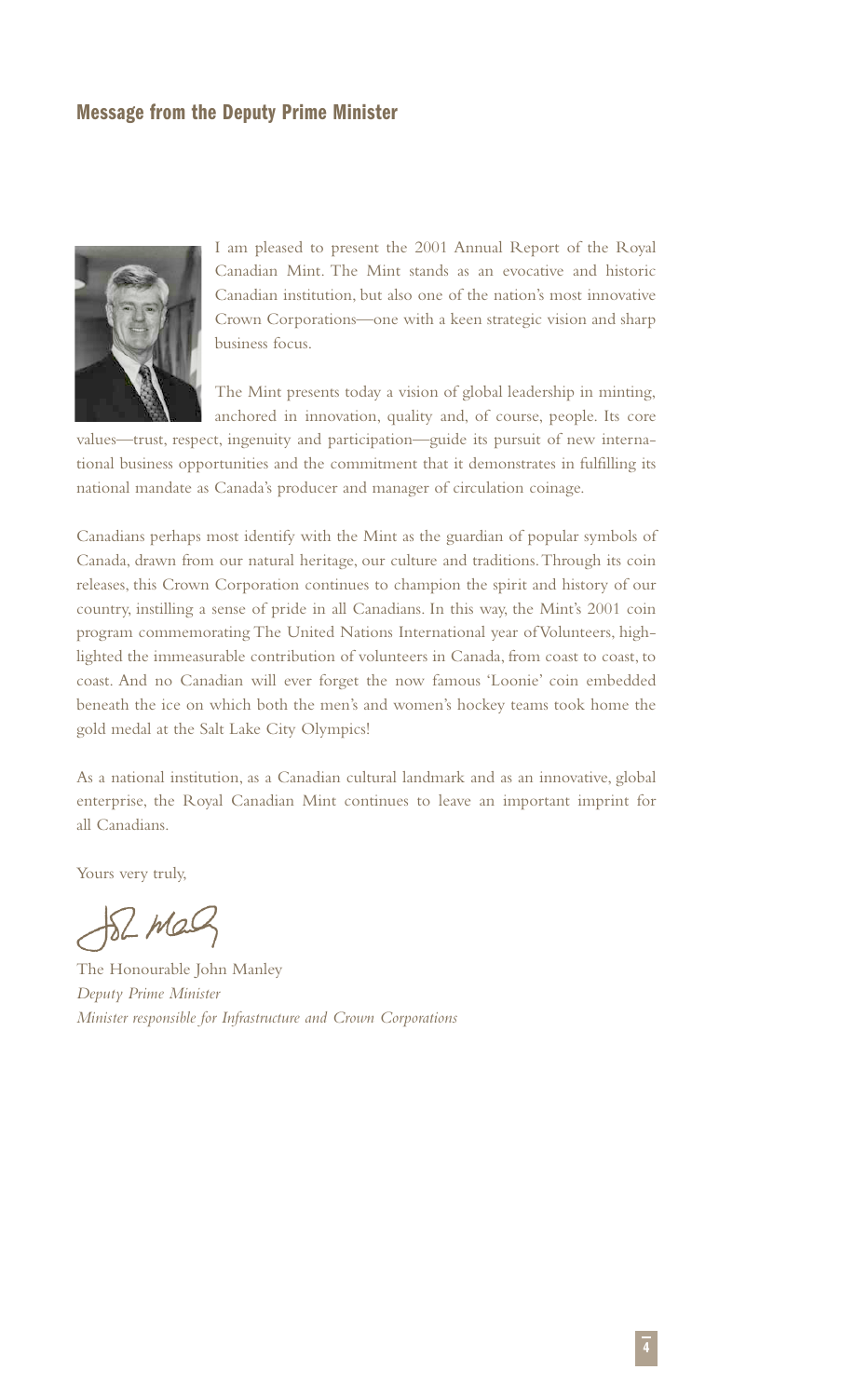## **Message from the Deputy Prime Minister**



I am pleased to present the 2001 Annual Report of the Royal Canadian Mint. The Mint stands as an evocative and historic Canadian institution, but also one of the nation's most innovative Crown Corporations—one with a keen strategic vision and sharp business focus.

The Mint presents today a vision of global leadership in minting, anchored in innovation, quality and, of course, people. Its core

values—trust, respect, ingenuity and participation—guide its pursuit of new international business opportunities and the commitment that it demonstrates in fulfilling its national mandate as Canada's producer and manager of circulation coinage.

Canadians perhaps most identify with the Mint as the guardian of popular symbols of Canada, drawn from our natural heritage, our culture and traditions.Through its coin releases, this Crown Corporation continues to champion the spirit and history of our country, instilling a sense of pride in all Canadians. In this way, the Mint's 2001 coin program commemorating The United Nations International year of Volunteers, highlighted the immeasurable contribution of volunteers in Canada, from coast to coast, to coast. And no Canadian will ever forget the now famous 'Loonie' coin embedded beneath the ice on which both the men's and women's hockey teams took home the gold medal at the Salt Lake City Olympics!

As a national institution, as a Canadian cultural landmark and as an innovative, global enterprise, the Royal Canadian Mint continues to leave an important imprint for all Canadians.

Yours very truly,

 $121122$ 

The Honourable John Manley *Deputy Prime Minister Minister responsible for Infrastructure and Crown Corporations*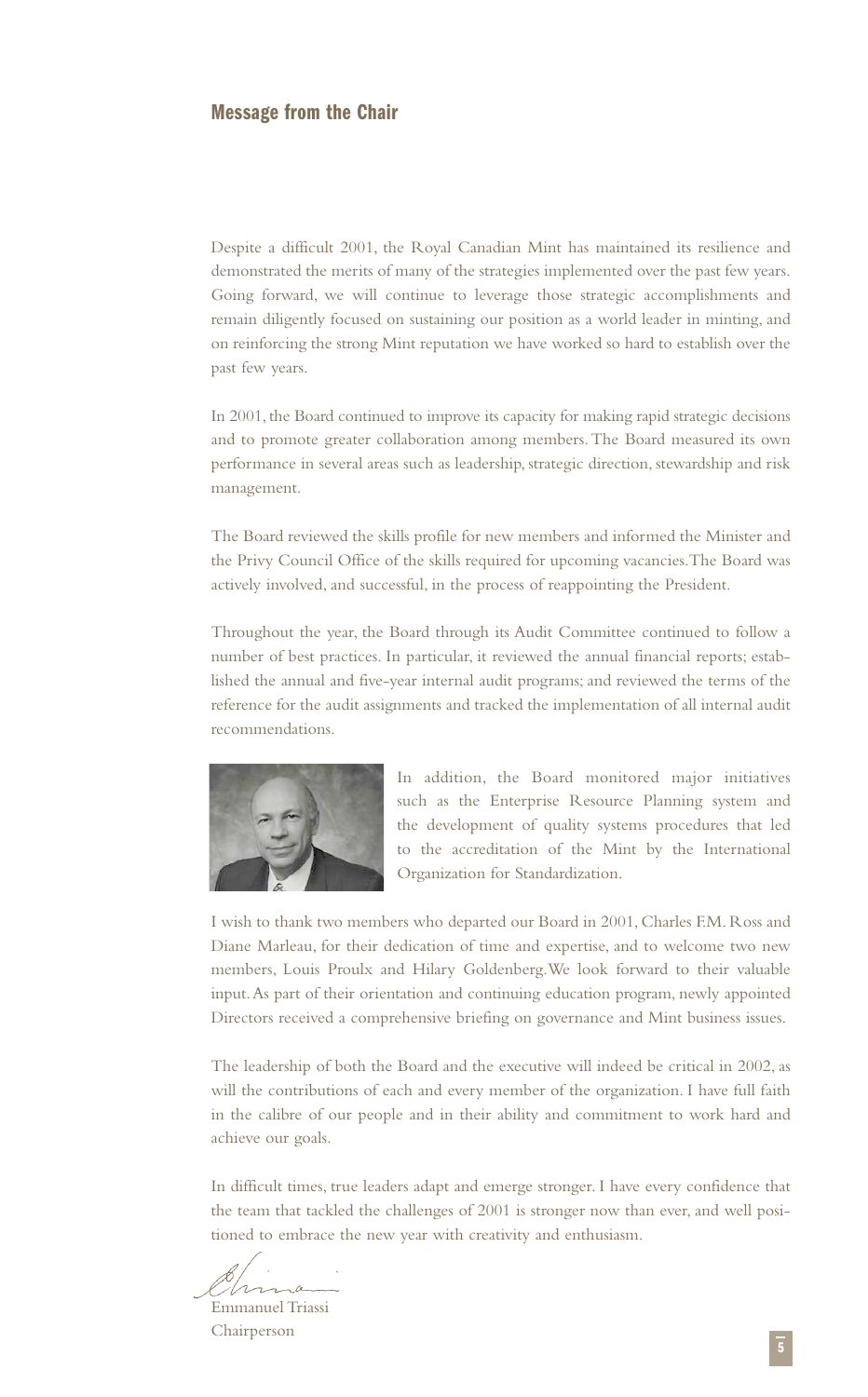## **Message from the Chair**

Despite a difficult 2001, the Royal Canadian Mint has maintained its resilience and demonstrated the merits of many of the strategies implemented over the past few years. Going forward, we will continue to leverage those strategic accomplishments and remain diligently focused on sustaining our position as a world leader in minting, and on reinforcing the strong Mint reputation we have worked so hard to establish over the past few years.

In 2001, the Board continued to improve its capacity for making rapid strategic decisions and to promote greater collaboration among members.The Board measured its own performance in several areas such as leadership, strategic direction, stewardship and risk management.

The Board reviewed the skills profile for new members and informed the Minister and the Privy Council Office of the skills required for upcoming vacancies.The Board was actively involved, and successful, in the process of reappointing the President.

Throughout the year, the Board through its Audit Committee continued to follow a number of best practices. In particular, it reviewed the annual financial reports; established the annual and five-year internal audit programs; and reviewed the terms of the reference for the audit assignments and tracked the implementation of all internal audit recommendations.



In addition, the Board monitored major initiatives such as the Enterprise Resource Planning system and the development of quality systems procedures that led to the accreditation of the Mint by the International Organization for Standardization.

I wish to thank two members who departed our Board in 2001, Charles F.M. Ross and Diane Marleau, for their dedication of time and expertise, and to welcome two new members, Louis Proulx and Hilary Goldenberg.We look forward to their valuable input.As part of their orientation and continuing education program, newly appointed Directors received a comprehensive briefing on governance and Mint business issues.

The leadership of both the Board and the executive will indeed be critical in 2002, as will the contributions of each and every member of the organization. I have full faith in the calibre of our people and in their ability and commitment to work hard and achieve our goals.

In difficult times, true leaders adapt and emerge stronger. I have every confidence that the team that tackled the challenges of 2001 is stronger now than ever, and well positioned to embrace the new year with creativity and enthusiasm.

Hrr  $\sim$  a Emmanuel Triassi

Chairperson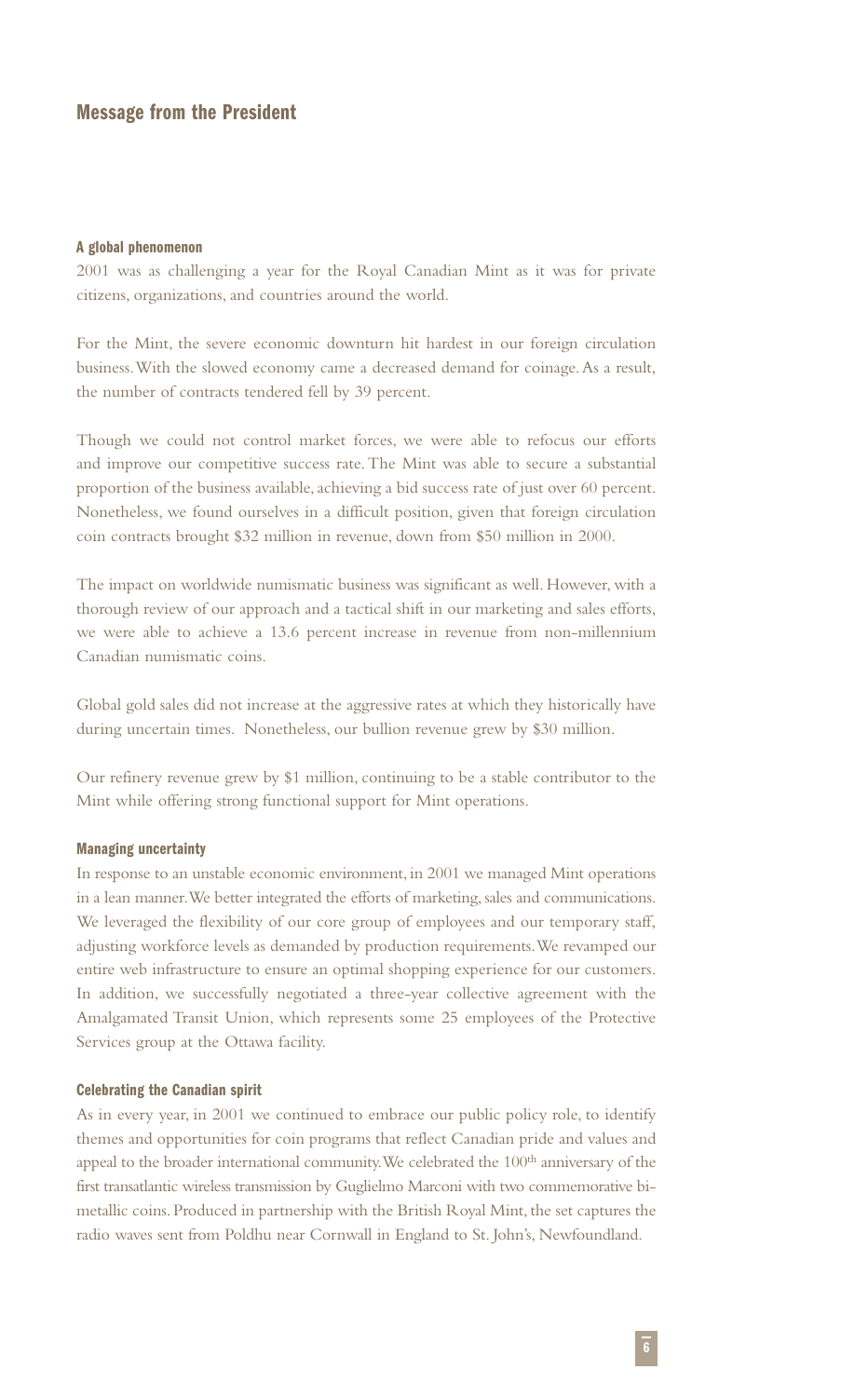## **Message from the President**

#### **A global phenomenon**

2001 was as challenging a year for the Royal Canadian Mint as it was for private citizens, organizations, and countries around the world.

For the Mint, the severe economic downturn hit hardest in our foreign circulation business.With the slowed economy came a decreased demand for coinage.As a result, the number of contracts tendered fell by 39 percent.

Though we could not control market forces, we were able to refocus our efforts and improve our competitive success rate. The Mint was able to secure a substantial proportion of the business available, achieving a bid success rate of just over 60 percent. Nonetheless, we found ourselves in a difficult position, given that foreign circulation coin contracts brought \$32 million in revenue, down from \$50 million in 2000.

The impact on worldwide numismatic business was significant as well. However, with a thorough review of our approach and a tactical shift in our marketing and sales efforts, we were able to achieve a 13.6 percent increase in revenue from non-millennium Canadian numismatic coins.

Global gold sales did not increase at the aggressive rates at which they historically have during uncertain times. Nonetheless, our bullion revenue grew by \$30 million.

Our refinery revenue grew by \$1 million, continuing to be a stable contributor to the Mint while offering strong functional support for Mint operations.

#### **Managing uncertainty**

In response to an unstable economic environment, in 2001 we managed Mint operations in a lean manner.We better integrated the efforts of marketing, sales and communications. We leveraged the flexibility of our core group of employees and our temporary staff, adjusting workforce levels as demanded by production requirements.We revamped our entire web infrastructure to ensure an optimal shopping experience for our customers. In addition, we successfully negotiated a three-year collective agreement with the Amalgamated Transit Union, which represents some 25 employees of the Protective Services group at the Ottawa facility.

#### **Celebrating the Canadian spirit**

As in every year, in 2001 we continued to embrace our public policy role, to identify themes and opportunities for coin programs that reflect Canadian pride and values and appeal to the broader international community. We celebrated the 100<sup>th</sup> anniversary of the first transatlantic wireless transmission by Guglielmo Marconi with two commemorative bimetallic coins. Produced in partnership with the British Royal Mint, the set captures the radio waves sent from Poldhu near Cornwall in England to St. John's, Newfoundland.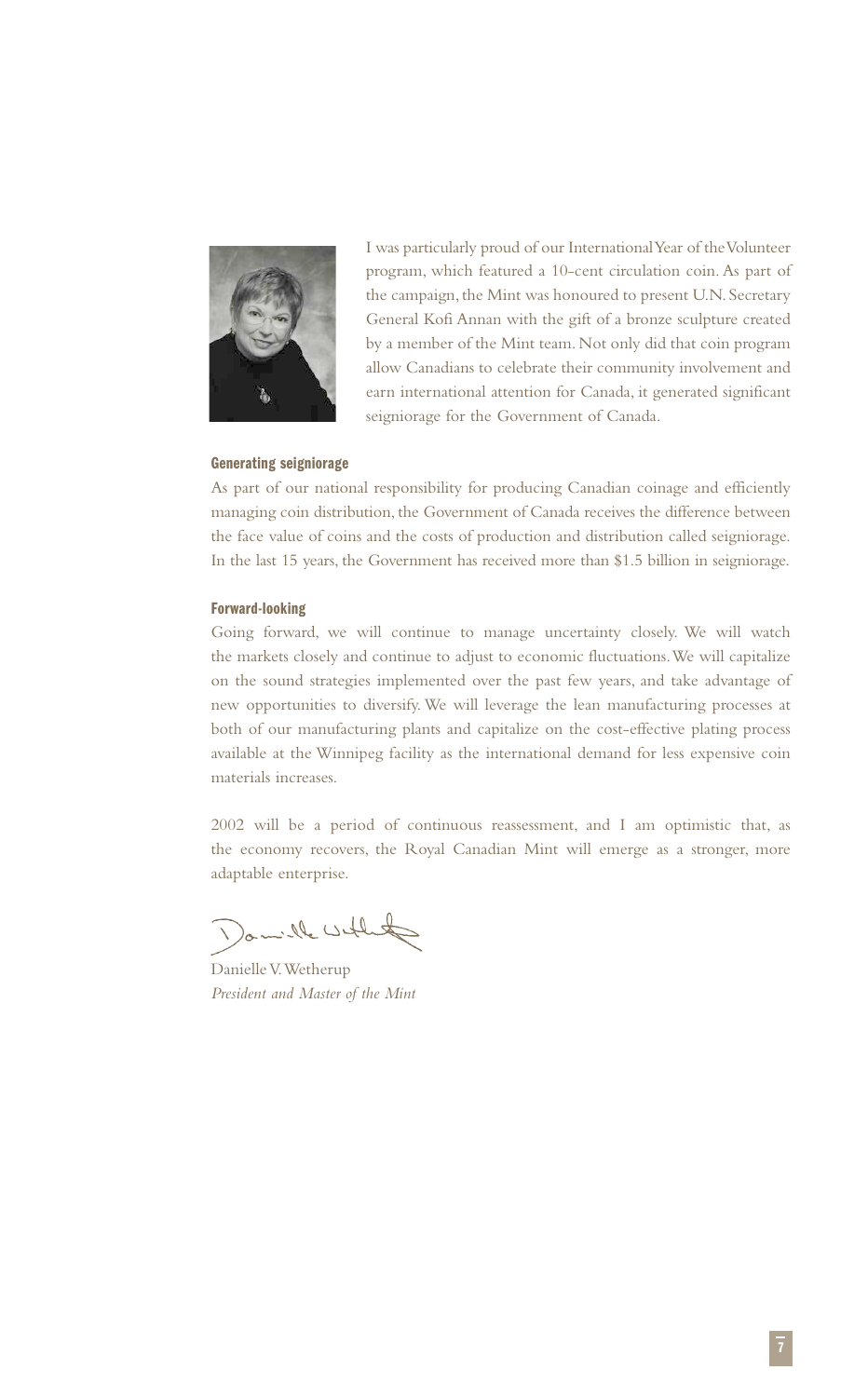

I was particularly proud of our International Year of the Volunteer program, which featured a 10-cent circulation coin. As part of the campaign, the Mint was honoured to present U.N. Secretary General Kofi Annan with the gift of a bronze sculpture created by a member of the Mint team. Not only did that coin program allow Canadians to celebrate their community involvement and earn international attention for Canada, it generated significant seigniorage for the Government of Canada.

## **Generating seigniorage**

As part of our national responsibility for producing Canadian coinage and efficiently managing coin distribution, the Government of Canada receives the difference between the face value of coins and the costs of production and distribution called seigniorage. In the last 15 years, the Government has received more than \$1.5 billion in seigniorage.

#### **Forward-looking**

Going forward, we will continue to manage uncertainty closely. We will watch the markets closely and continue to adjust to economic fluctuations.We will capitalize on the sound strategies implemented over the past few years, and take advantage of new opportunities to diversify. We will leverage the lean manufacturing processes at both of our manufacturing plants and capitalize on the cost-effective plating process available at the Winnipeg facility as the international demand for less expensive coin materials increases.

2002 will be a period of continuous reassessment, and I am optimistic that, as the economy recovers, the Royal Canadian Mint will emerge as a stronger, more adaptable enterprise.

Lamille with the

Danielle V.Wetherup *President and Master of the Mint*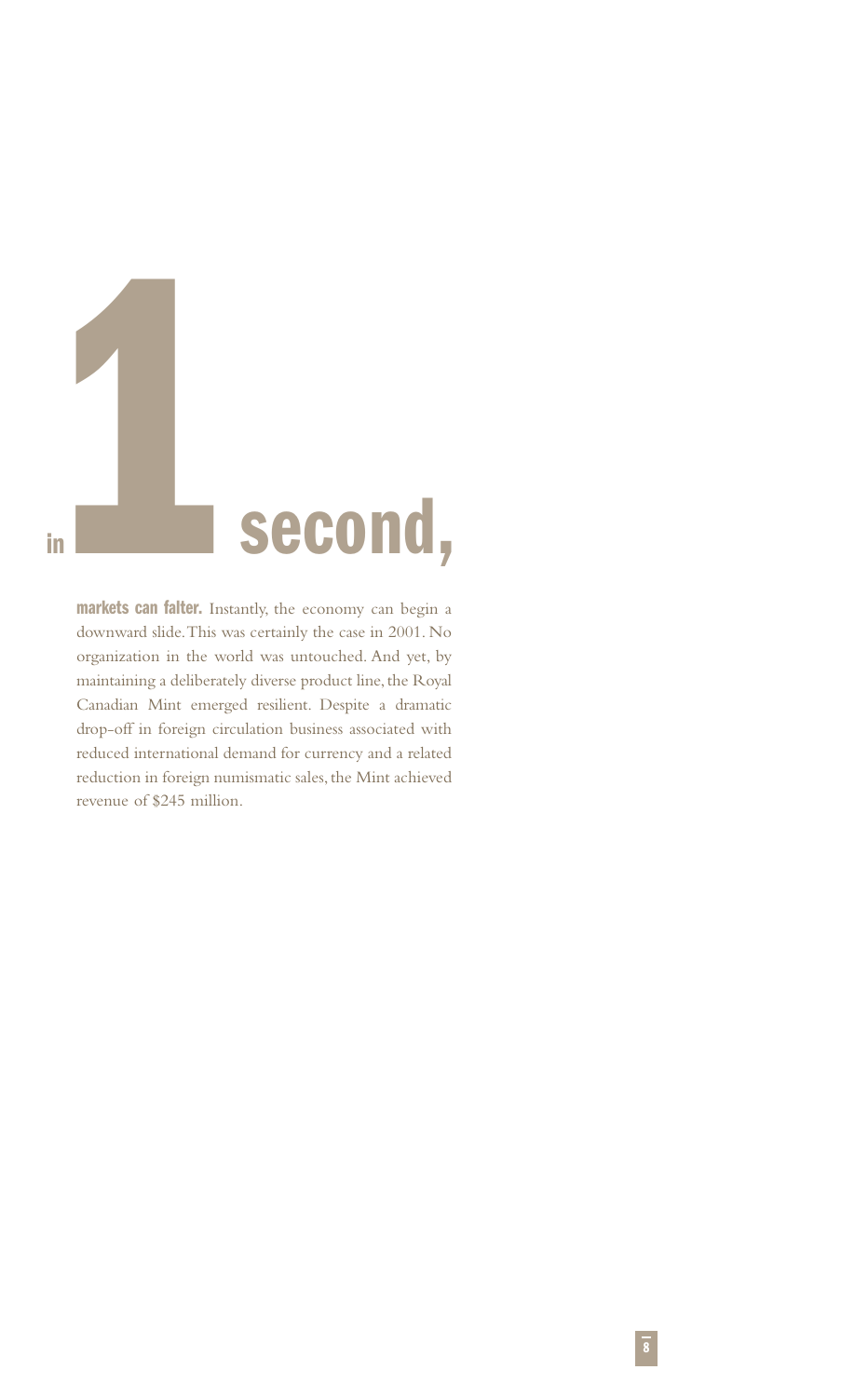

**markets can falter.** Instantly, the economy can begin a downward slide.This was certainly the case in 2001. No organization in the world was untouched. And yet, by maintaining a deliberately diverse product line, the Royal Canadian Mint emerged resilient. Despite a dramatic drop-off in foreign circulation business associated with reduced international demand for currency and a related reduction in foreign numismatic sales, the Mint achieved revenue of \$245 million.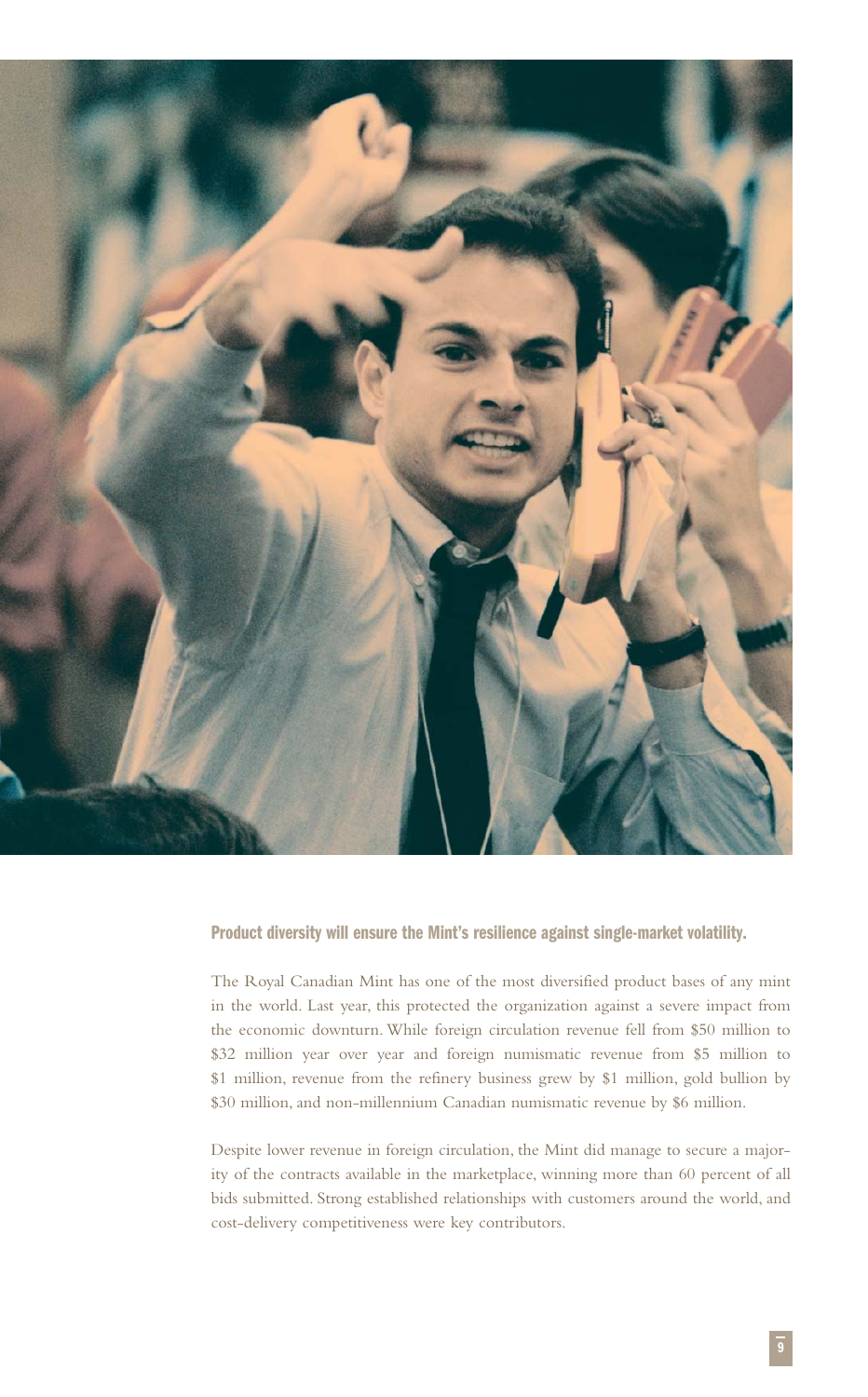

### **Product diversity will ensure the Mint's resilience against single-market volatility.**

The Royal Canadian Mint has one of the most diversified product bases of any mint in the world. Last year, this protected the organization against a severe impact from the economic downturn. While foreign circulation revenue fell from \$50 million to \$32 million year over year and foreign numismatic revenue from \$5 million to \$1 million, revenue from the refinery business grew by \$1 million, gold bullion by \$30 million, and non-millennium Canadian numismatic revenue by \$6 million.

Despite lower revenue in foreign circulation, the Mint did manage to secure a majority of the contracts available in the marketplace, winning more than 60 percent of all bids submitted. Strong established relationships with customers around the world, and cost-delivery competitiveness were key contributors.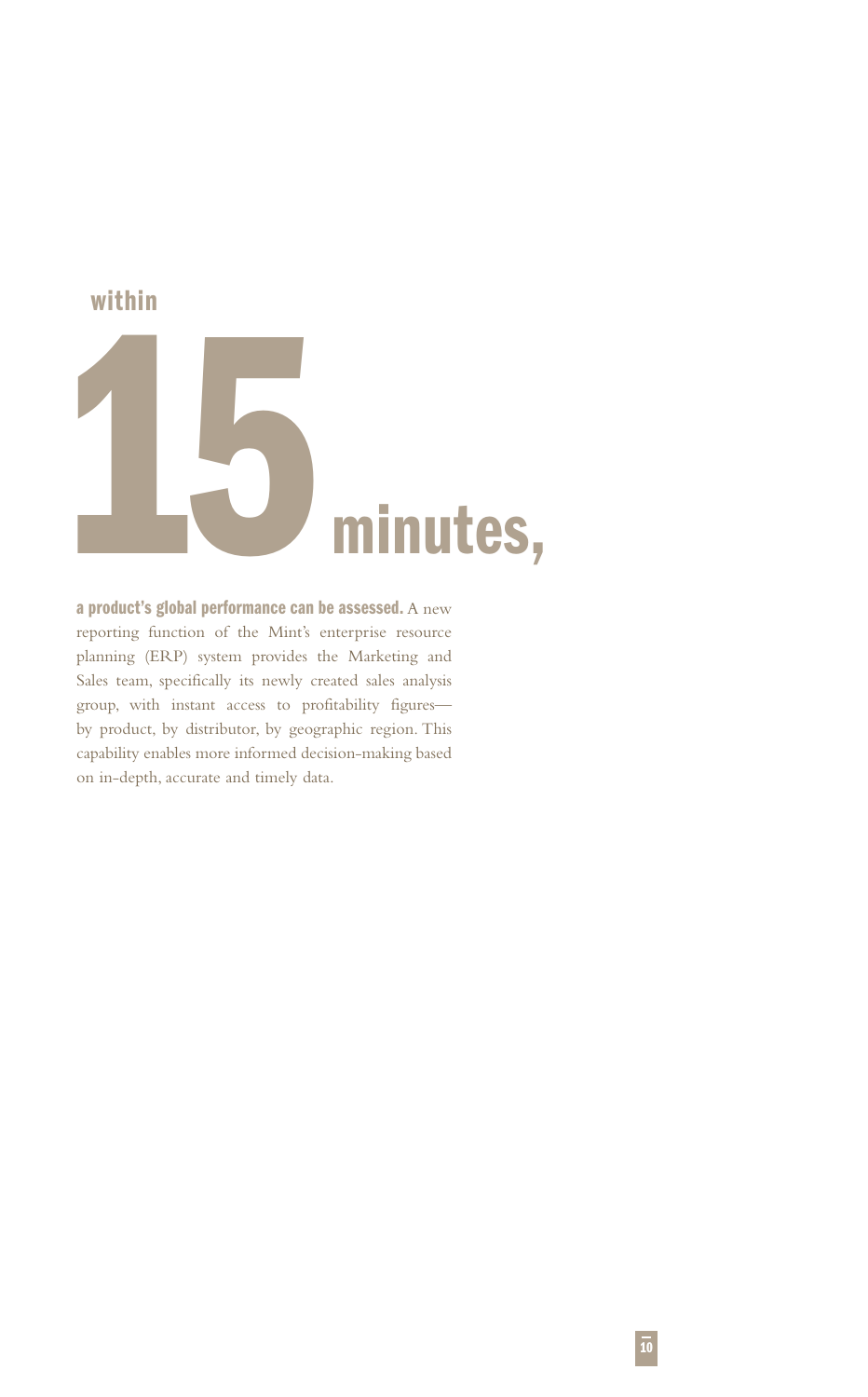

# **a product's global performance can be assessed.** A new reporting function of the Mint's enterprise resource planning (ERP) system provides the Marketing and Sales team, specifically its newly created sales analysis group, with instant access to profitability figures by product, by distributor, by geographic region. This capability enables more informed decision-making based on in-depth, accurate and timely data.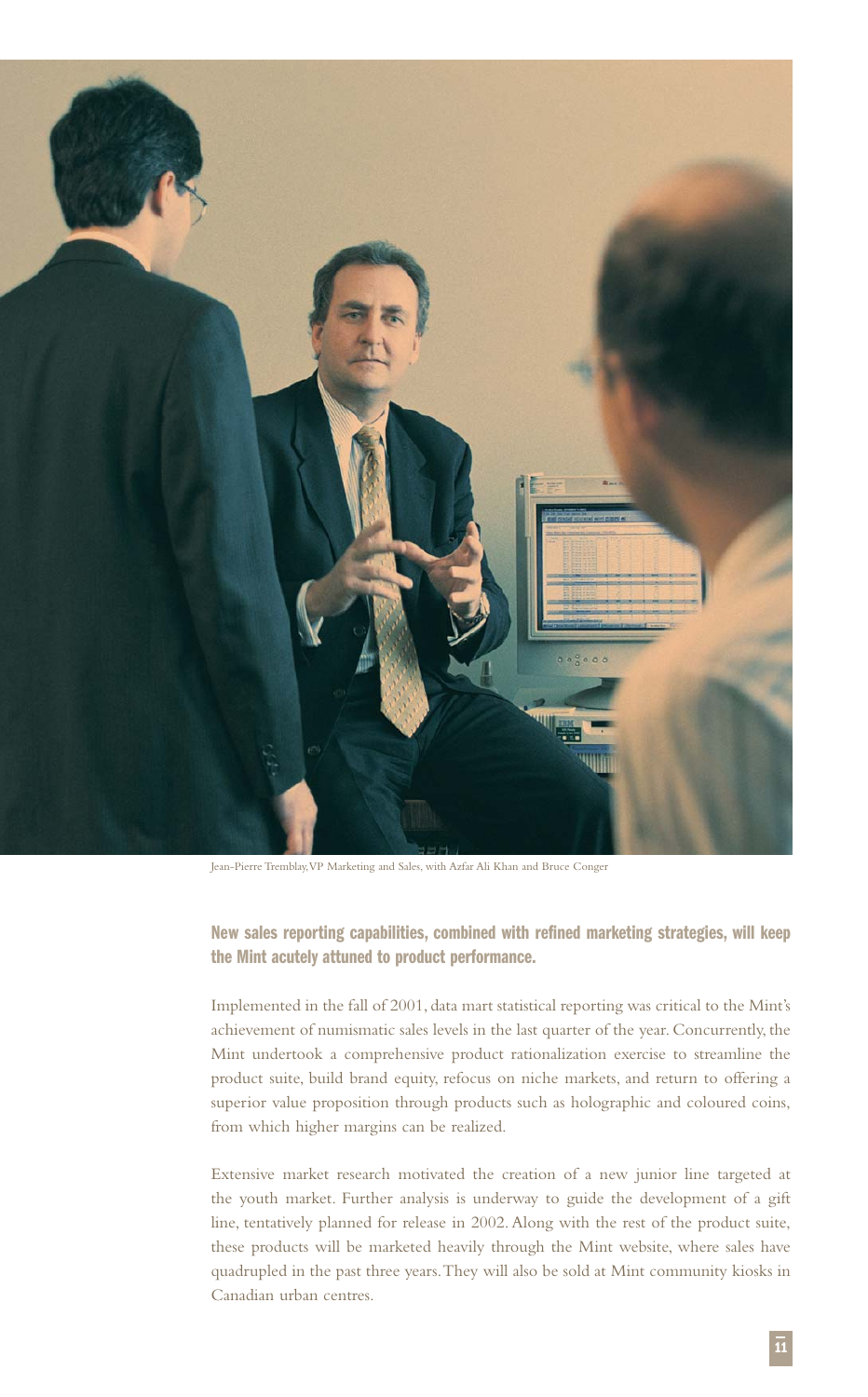

Jean-Pierre Tremblay,VP Marketing and Sales, with Azfar Ali Khan and Bruce Conger

**New sales reporting capabilities, combined with refined marketing strategies, will keep the Mint acutely attuned to product performance.**

Implemented in the fall of 2001, data mart statistical reporting was critical to the Mint's achievement of numismatic sales levels in the last quarter of the year. Concurrently, the Mint undertook a comprehensive product rationalization exercise to streamline the product suite, build brand equity, refocus on niche markets, and return to offering a superior value proposition through products such as holographic and coloured coins, from which higher margins can be realized.

Extensive market research motivated the creation of a new junior line targeted at the youth market. Further analysis is underway to guide the development of a gift line, tentatively planned for release in 2002. Along with the rest of the product suite, these products will be marketed heavily through the Mint website, where sales have quadrupled in the past three years.They will also be sold at Mint community kiosks in Canadian urban centres.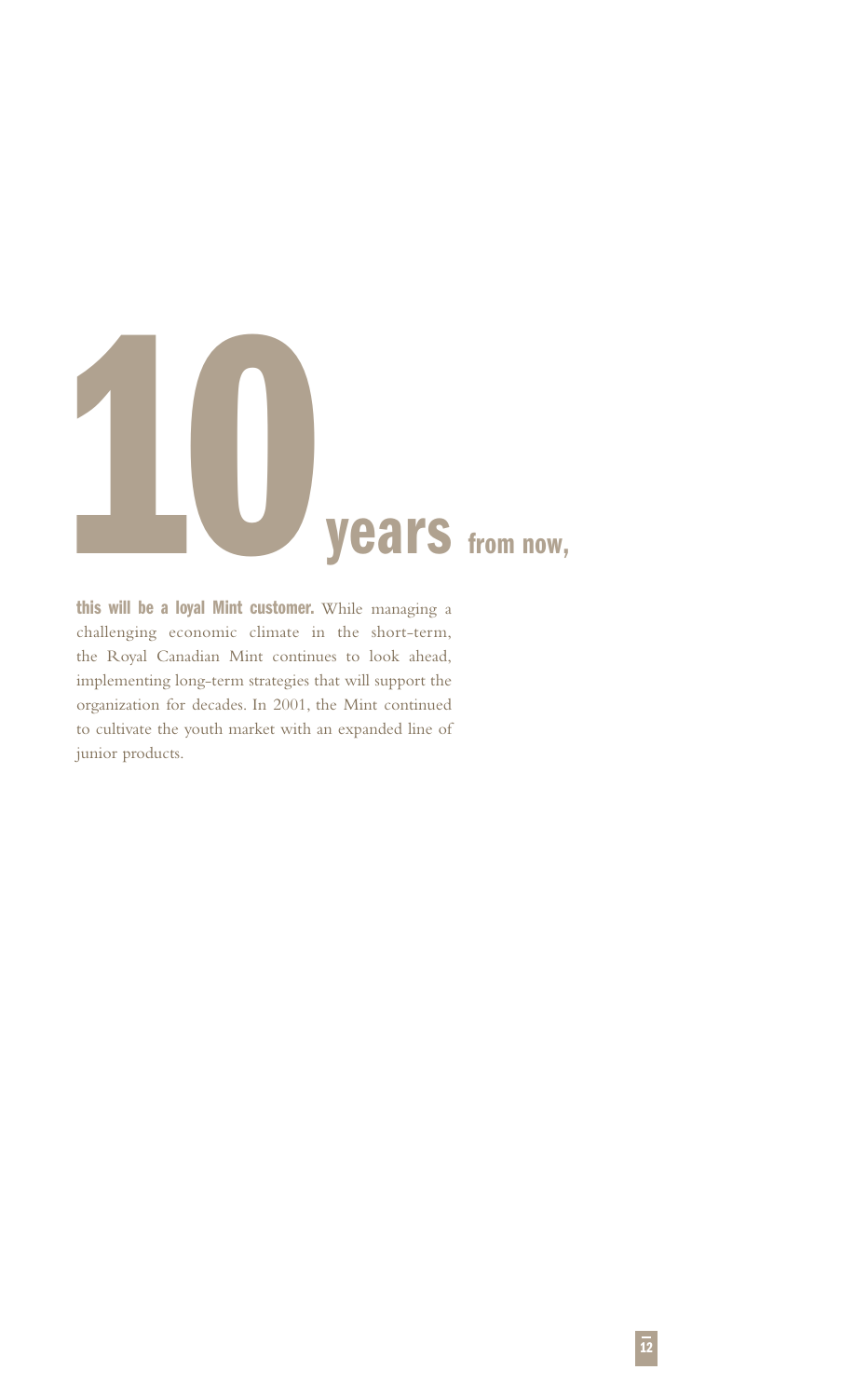

**this will be a loyal Mint customer.** While managing a challenging economic climate in the short-term, the Royal Canadian Mint continues to look ahead, implementing long-term strategies that will support the organization for decades. In 2001, the Mint continued to cultivate the youth market with an expanded line of junior products.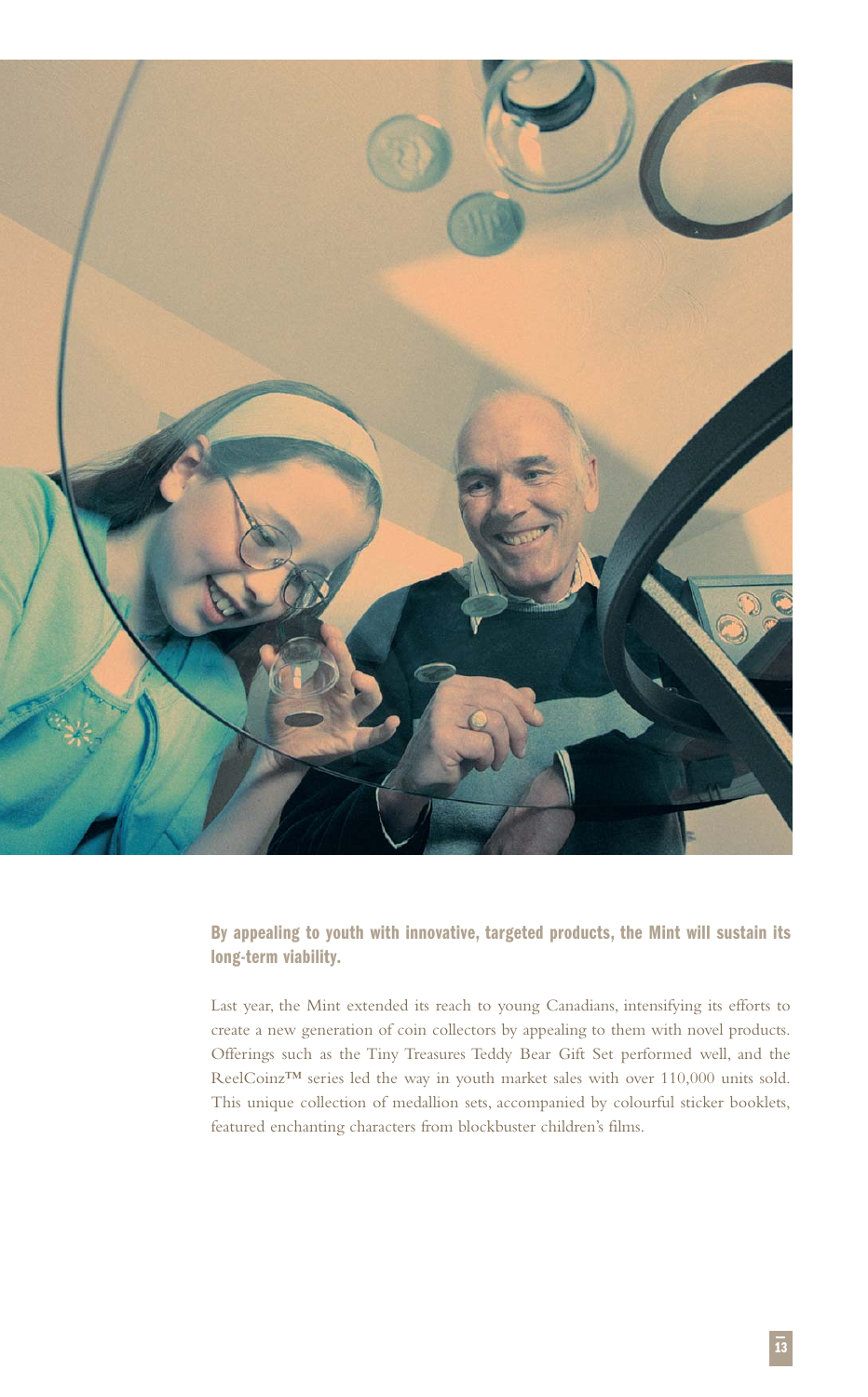

**By appealing to youth with innovative, targeted products, the Mint will sustain its long-term viability.**

Last year, the Mint extended its reach to young Canadians, intensifying its efforts to create a new generation of coin collectors by appealing to them with novel products. Offerings such as the Tiny Treasures Teddy Bear Gift Set performed well, and the ReelCoinz™ series led the way in youth market sales with over 110,000 units sold. This unique collection of medallion sets, accompanied by colourful sticker booklets, featured enchanting characters from blockbuster children's films.